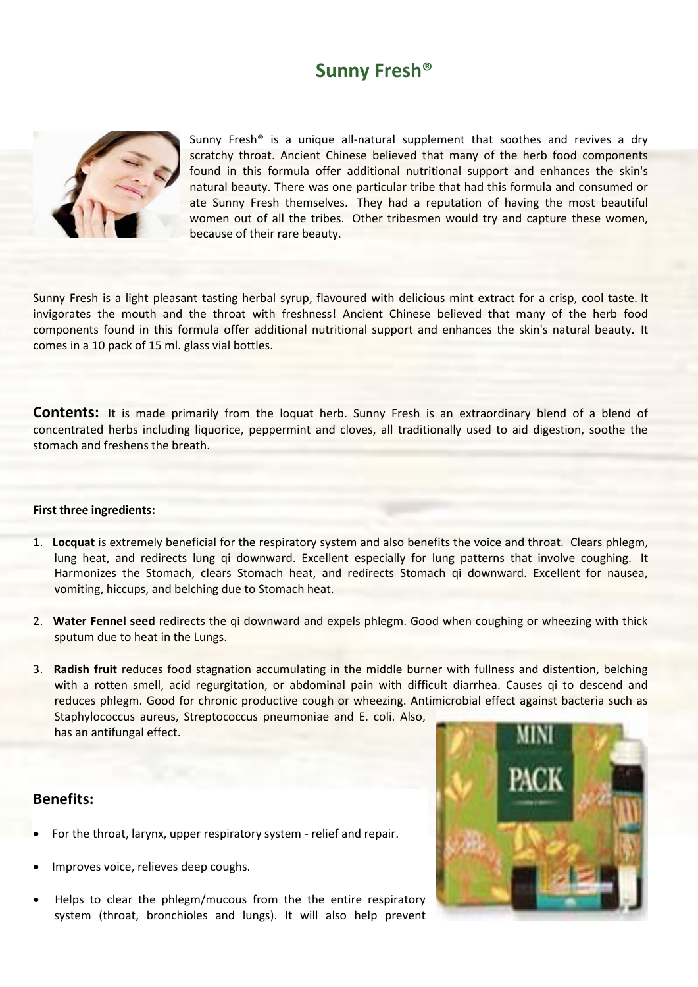# **Sunny Fresh®**



Sunny Fresh<sup>®</sup> is a unique all-natural supplement that soothes and revives a dry scratchy throat. Ancient Chinese believed that many of the herb food components found in this formula offer additional nutritional support and enhances the skin's natural beauty. There was one particular tribe that had this formula and consumed or ate Sunny Fresh themselves. They had a reputation of having the most beautiful women out of all the tribes. Other tribesmen would try and capture these women, because of their rare beauty.

Sunny Fresh is a light pleasant tasting herbal syrup, flavoured with delicious mint extract for a crisp, cool taste. It invigorates the mouth and the throat with freshness! Ancient Chinese believed that many of the herb food components found in this formula offer additional nutritional support and enhances the skin's natural beauty. It comes in a 10 pack of 15 ml. glass vial bottles.

**Contents:** It is made primarily from the loquat herb. Sunny Fresh is an extraordinary blend of a blend of concentrated herbs including liquorice, peppermint and cloves, all traditionally used to aid digestion, soothe the stomach and freshens the breath.

#### **First three ingredients:**

- 1. **Locquat** is extremely beneficial for the respiratory system and also benefits the voice and throat. Clears phlegm, lung heat, and redirects lung qi downward. Excellent especially for lung patterns that involve coughing. It Harmonizes the Stomach, clears Stomach heat, and redirects Stomach qi downward. Excellent for nausea, vomiting, hiccups, and belching due to Stomach heat.
- 2. **Water Fennel seed** redirects the qi downward and expels phlegm. Good when coughing or wheezing with thick sputum due to heat in the Lungs.
- 3. **Radish fruit** reduces food stagnation accumulating in the middle burner with fullness and distention, belching with a rotten smell, acid regurgitation, or abdominal pain with difficult diarrhea. Causes qi to descend and reduces phlegm. Good for chronic productive cough or wheezing. Antimicrobial effect against bacteria such as Staphylococcus aureus, Streptococcus pneumoniae and E. coli. Also, has an antifungal effect.

### **Benefits:**

- For the throat, larynx, upper respiratory system relief and repair.
- Improves voice, relieves deep coughs.
- Helps to clear the phlegm/mucous from the the entire respiratory system (throat, bronchioles and lungs). It will also help prevent

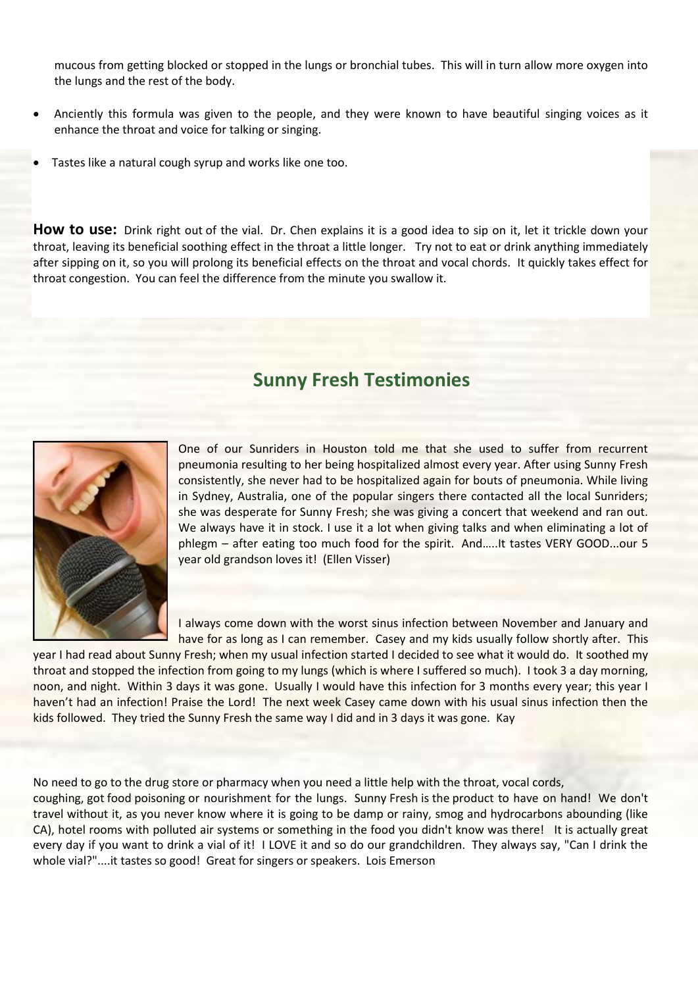mucous from getting blocked or stopped in the lungs or bronchial tubes. This will in turn allow more oxygen into the lungs and the rest of the body.

- Anciently this formula was given to the people, and they were known to have beautiful singing voices as it enhance the throat and voice for talking or singing.
- Tastes like a natural cough syrup and works like one too.

**How to use:** Drink right out of the vial. Dr. Chen explains it is a good idea to sip on it, let it trickle down your throat, leaving its beneficial soothing effect in the throat a little longer. Try not to eat or drink anything immediately after sipping on it, so you will prolong its beneficial effects on the throat and vocal chords. It quickly takes effect for throat congestion. You can feel the difference from the minute you swallow it.

## **Sunny Fresh Testimonies**



One of our Sunriders in Houston told me that she used to suffer from recurrent pneumonia resulting to her being hospitalized almost every year. After using Sunny Fresh consistently, she never had to be hospitalized again for bouts of pneumonia. While living in Sydney, Australia, one of the popular singers there contacted all the local Sunriders; she was desperate for Sunny Fresh; she was giving a concert that weekend and ran out. We always have it in stock. I use it a lot when giving talks and when eliminating a lot of phlegm – after eating too much food for the spirit. And…..It tastes VERY GOOD...our 5 year old grandson loves it! (Ellen Visser)

I always come down with the worst sinus infection between November and January and have for as long as I can remember. Casey and my kids usually follow shortly after. This

year I had read about Sunny Fresh; when my usual infection started I decided to see what it would do. It soothed my throat and stopped the infection from going to my lungs (which is where I suffered so much). I took 3 a day morning, noon, and night. Within 3 days it was gone. Usually I would have this infection for 3 months every year; this year I haven't had an infection! Praise the Lord! The next week Casey came down with his usual sinus infection then the kids followed. They tried the Sunny Fresh the same way I did and in 3 days it was gone. Kay

No need to go to the drug store or pharmacy when you need a little help with the throat, vocal cords,

coughing, got food poisoning or nourishment for the lungs. Sunny Fresh is the product to have on hand! We don't travel without it, as you never know where it is going to be damp or rainy, smog and hydrocarbons abounding (like CA), hotel rooms with polluted air systems or something in the food you didn't know was there! It is actually great every day if you want to drink a vial of it! I LOVE it and so do our grandchildren. They always say, "Can I drink the whole vial?"....it tastes so good! Great for singers or speakers. Lois Emerson